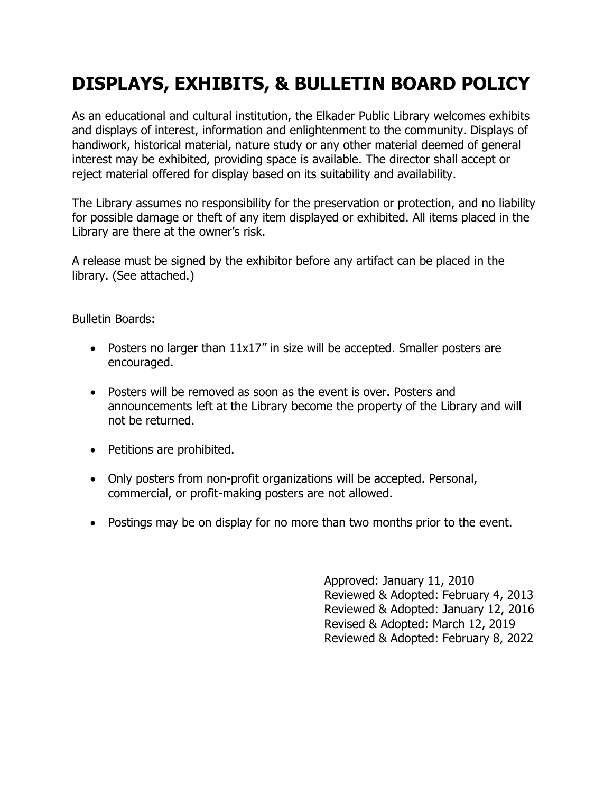## **DISPLAYS, EXHIBITS, & BULLETIN BOARD POLICY**

As an educational and cultural institution, the Elkader Public Library welcomes exhibits and displays of interest, information and enlightenment to the community. Displays of handiwork, historical material, nature study or any other material deemed of general interest may be exhibited, providing space is available. The director shall accept or reject material offered for display based on its suitability and availability.

The Library assumes no responsibility for the preservation or protection, and no liability for possible damage or theft of any item displayed or exhibited. All items placed in the Library are there at the owner's risk.

A release must be signed by the exhibitor before any artifact can be placed in the library. (See attached.)

## Bulletin Boards:

- Posters no larger than 11x17" in size will be accepted. Smaller posters are encouraged.
- Posters will be removed as soon as the event is over. Posters and announcements left at the Library become the property of the Library and will not be returned.
- Petitions are prohibited.
- Only posters from non-profit organizations will be accepted. Personal, commercial, or profit-making posters are not allowed.
- Postings may be on display for no more than two months prior to the event.

Approved: January 11, 2010 Reviewed & Adopted: February 4, 2013 Reviewed & Adopted: January 12, 2016 Revised & Adopted: March 12, 2019 Reviewed & Adopted: February 8, 2022